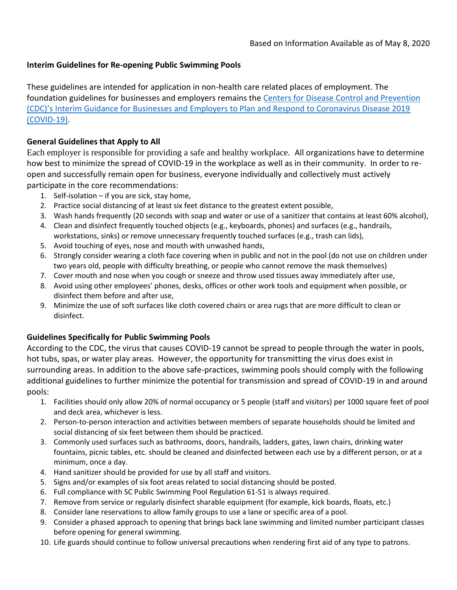## **Interim Guidelines for Re-opening Public Swimming Pools**

These guidelines are intended for application in non-health care related places of employment. The foundation guidelines for businesses and employers remains the [Centers for Disease Control and Prevention](https://www.cdc.gov/coronavirus/2019-ncov/community/guidance-business-response.html)  (CDC)'s [Interim Guidance for Businesses and Employers to Plan and Respond to Coronavirus Disease 2019](https://www.cdc.gov/coronavirus/2019-ncov/community/guidance-business-response.html)  [\(COVID-19\).](https://www.cdc.gov/coronavirus/2019-ncov/community/guidance-business-response.html)

## **General Guidelines that Apply to All**

Each employer is responsible for providing a safe and healthy workplace. All organizations have to determine how best to minimize the spread of COVID-19 in the workplace as well as in their community. In order to reopen and successfully remain open for business, everyone individually and collectively must actively participate in the core recommendations:

- 1. Self-isolation if you are sick, stay home,
- 2. Practice social distancing of at least six feet distance to the greatest extent possible,
- 3. Wash hands frequently (20 seconds with soap and water or use of a sanitizer that contains at least 60% alcohol),
- 4. Clean and disinfect frequently touched objects (e.g., keyboards, phones) and surfaces (e.g., handrails, workstations, sinks) or remove unnecessary frequently touched surfaces (e.g., trash can lids),
- 5. Avoid touching of eyes, nose and mouth with unwashed hands,
- 6. Strongly consider wearing a cloth face covering when in public and not in the pool (do not use on children under two years old, people with difficulty breathing, or people who cannot remove the mask themselves)
- 7. Cover mouth and nose when you cough or sneeze and throw used tissues away immediately after use,
- 8. Avoid using other employees' phones, desks, offices or other work tools and equipment when possible, or disinfect them before and after use,
- 9. Minimize the use of soft surfaces like cloth covered chairs or area rugs that are more difficult to clean or disinfect.

## **Guidelines Specifically for Public Swimming Pools**

According to the CDC, the virus that causes COVID-19 cannot be spread to people through the water in pools, hot tubs, spas, or water play areas. However, the opportunity for transmitting the virus does exist in surrounding areas. In addition to the above safe-practices, swimming pools should comply with the following additional guidelines to further minimize the potential for transmission and spread of COVID-19 in and around pools:

- 1. Facilities should only allow 20% of normal occupancy or 5 people (staff and visitors) per 1000 square feet of pool and deck area, whichever is less.
- 2. Person-to-person interaction and activities between members of separate households should be limited and social distancing of six feet between them should be practiced.
- 3. Commonly used surfaces such as bathrooms, doors, handrails, ladders, gates, lawn chairs, drinking water fountains, picnic tables, etc. should be cleaned and disinfected between each use by a different person, or at a minimum, once a day.
- 4. Hand sanitizer should be provided for use by all staff and visitors.
- 5. Signs and/or examples of six foot areas related to social distancing should be posted.
- 6. Full compliance with SC Public Swimming Pool Regulation 61-51 is always required.
- 7. Remove from service or regularly disinfect sharable equipment (for example, kick boards, floats, etc.)
- 8. Consider lane reservations to allow family groups to use a lane or specific area of a pool.
- 9. Consider a phased approach to opening that brings back lane swimming and limited number participant classes before opening for general swimming.
- 10. Life guards should continue to follow universal precautions when rendering first aid of any type to patrons.